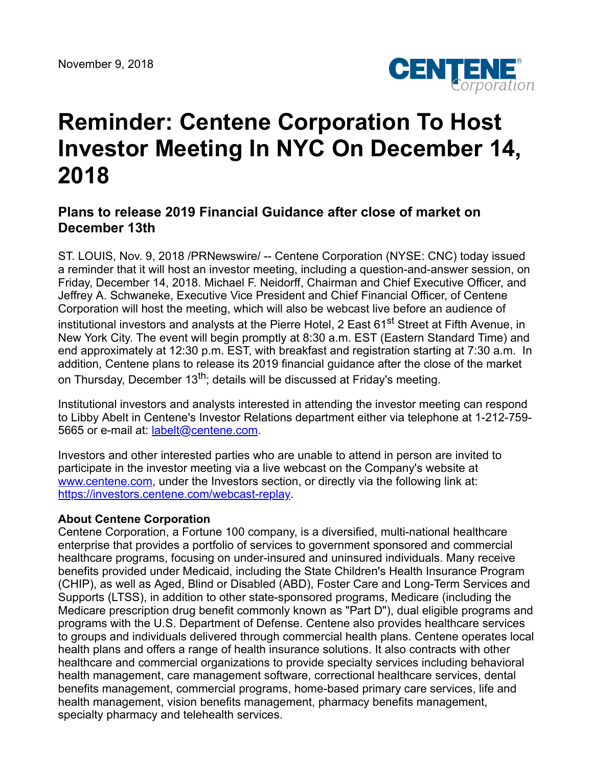

## **Reminder: Centene Corporation To Host Investor Meeting In NYC On December 14, 2018**

## **Plans to release 2019 Financial Guidance after close of market on December 13th**

ST. LOUIS, Nov. 9, 2018 /PRNewswire/ -- Centene Corporation (NYSE: CNC) today issued a reminder that it will host an investor meeting, including a question-and-answer session, on Friday, December 14, 2018. Michael F. Neidorff, Chairman and Chief Executive Officer, and Jeffrey A. Schwaneke, Executive Vice President and Chief Financial Officer, of Centene Corporation will host the meeting, which will also be webcast live before an audience of institutional investors and analysts at the Pierre Hotel, 2 East 61<sup>st</sup> Street at Fifth Avenue, in New York City. The event will begin promptly at 8:30 a.m. EST (Eastern Standard Time) and end approximately at 12:30 p.m. EST, with breakfast and registration starting at 7:30 a.m. In addition, Centene plans to release its 2019 financial guidance after the close of the market on Thursday, December 13<sup>th</sup>; details will be discussed at Friday's meeting.

Institutional investors and analysts interested in attending the investor meeting can respond to Libby Abelt in Centene's Investor Relations department either via telephone at 1-212-759- 5665 or e-mail at: [labelt@centene.com](mailto:labelt@centene.com).

Investors and other interested parties who are unable to attend in person are invited to participate in the investor meeting via a live webcast on the Company's website at [www.centene.com,](http://www.centene.com/) under the Investors section, or directly via the following link at: <https://investors.centene.com/webcast-replay>.

## **About Centene Corporation**

Centene Corporation, a Fortune 100 company, is a diversified, multi-national healthcare enterprise that provides a portfolio of services to government sponsored and commercial healthcare programs, focusing on under-insured and uninsured individuals. Many receive benefits provided under Medicaid, including the State Children's Health Insurance Program (CHIP), as well as Aged, Blind or Disabled (ABD), Foster Care and Long-Term Services and Supports (LTSS), in addition to other state-sponsored programs, Medicare (including the Medicare prescription drug benefit commonly known as "Part D"), dual eligible programs and programs with the U.S. Department of Defense. Centene also provides healthcare services to groups and individuals delivered through commercial health plans. Centene operates local health plans and offers a range of health insurance solutions. It also contracts with other healthcare and commercial organizations to provide specialty services including behavioral health management, care management software, correctional healthcare services, dental benefits management, commercial programs, home-based primary care services, life and health management, vision benefits management, pharmacy benefits management, specialty pharmacy and telehealth services.